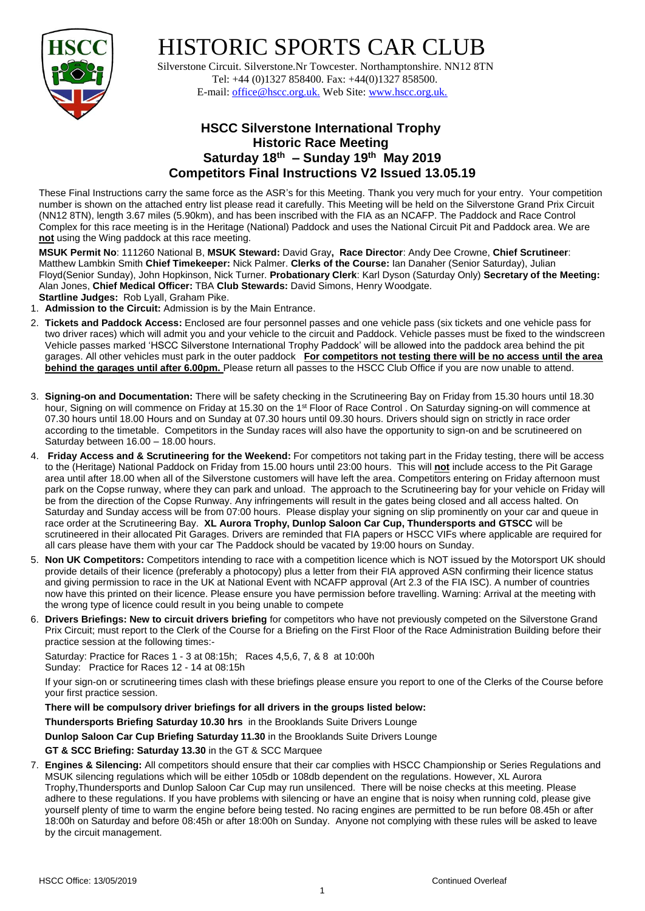

# HISTORIC SPORTS CAR CLUB

 Silverstone Circuit. Silverstone.Nr Towcester. Northamptonshire. NN12 8TN Tel: +44 (0)1327 858400. Fax: +44(0)1327 858500. E-mail: office@hscc.org.uk. Web Site: www.hscc.org.uk.

## **HSCC Silverstone International Trophy Historic Race Meeting Saturday 18th – Sunday 19th May 2019 Competitors Final Instructions V2 Issued 13.05.19**

These Final Instructions carry the same force as the ASR's for this Meeting. Thank you very much for your entry. Your competition number is shown on the attached entry list please read it carefully. This Meeting will be held on the Silverstone Grand Prix Circuit (NN12 8TN), length 3.67 miles (5.90km), and has been inscribed with the FIA as an NCAFP. The Paddock and Race Control Complex for this race meeting is in the Heritage (National) Paddock and uses the National Circuit Pit and Paddock area. We are **not** using the Wing paddock at this race meeting.

**MSUK Permit No**: 111260 National B, **MSUK Steward:** David Gray**, Race Director**: Andy Dee Crowne, **Chief Scrutineer**: Matthew Lambkin Smith **Chief Timekeeper:** Nick Palmer. **Clerks of the Course:** Ian Danaher (Senior Saturday), Julian Floyd(Senior Sunday), John Hopkinson, Nick Turner. **Probationary Clerk**: Karl Dyson (Saturday Only) **Secretary of the Meeting:** Alan Jones, **Chief Medical Officer:** TBA **Club Stewards:** David Simons, Henry Woodgate.

- **Startline Judges:** Rob Lyall, Graham Pike.
- 1. **Admission to the Circuit:** Admission is by the Main Entrance.
- 2. **Tickets and Paddock Access:** Enclosed are four personnel passes and one vehicle pass (six tickets and one vehicle pass for two driver races) which will admit you and your vehicle to the circuit and Paddock. Vehicle passes must be fixed to the windscreen Vehicle passes marked 'HSCC Silverstone International Trophy Paddock' will be allowed into the paddock area behind the pit garages. All other vehicles must park in the outer paddock **For competitors not testing there will be no access until the area behind the garages until after 6.00pm.** Please return all passes to the HSCC Club Office if you are now unable to attend.
- 3. **Signing-on and Documentation:** There will be safety checking in the Scrutineering Bay on Friday from 15.30 hours until 18.30 hour, Signing on will commence on Friday at 15.30 on the 1<sup>st</sup> Floor of Race Control . On Saturday signing-on will commence at 07.30 hours until 18.00 Hours and on Sunday at 07.30 hours until 09.30 hours. Drivers should sign on strictly in race order according to the timetable. Competitors in the Sunday races will also have the opportunity to sign-on and be scrutineered on Saturday between 16.00 – 18.00 hours.
- 4. **Friday Access and & Scrutineering for the Weekend:** For competitors not taking part in the Friday testing, there will be access to the (Heritage) National Paddock on Friday from 15.00 hours until 23:00 hours. This will **not** include access to the Pit Garage area until after 18.00 when all of the Silverstone customers will have left the area. Competitors entering on Friday afternoon must park on the Copse runway, where they can park and unload. The approach to the Scrutineering bay for your vehicle on Friday will be from the direction of the Copse Runway. Any infringements will result in the gates being closed and all access halted. On Saturday and Sunday access will be from 07:00 hours. Please display your signing on slip prominently on your car and queue in race order at the Scrutineering Bay. **XL Aurora Trophy, Dunlop Saloon Car Cup, Thundersports and GTSCC** will be scrutineered in their allocated Pit Garages. Drivers are reminded that FIA papers or HSCC VIFs where applicable are required for all cars please have them with your car The Paddock should be vacated by 19:00 hours on Sunday.
- 5. **Non UK Competitors:** Competitors intending to race with a competition licence which is NOT issued by the Motorsport UK should provide details of their licence (preferably a photocopy) plus a letter from their FIA approved ASN confirming their licence status and giving permission to race in the UK at National Event with NCAFP approval (Art 2.3 of the FIA ISC). A number of countries now have this printed on their licence. Please ensure you have permission before travelling. Warning: Arrival at the meeting with the wrong type of licence could result in you being unable to compete
- 6. **Drivers Briefings: New to circuit drivers briefing** for competitors who have not previously competed on the Silverstone Grand Prix Circuit; must report to the Clerk of the Course for a Briefing on the First Floor of the Race Administration Building before their practice session at the following times:-

Saturday: Practice for Races 1 - 3 at 08:15h; Races 4,5,6, 7, & 8 at 10:00h Sunday: Practice for Races 12 - 14 at 08:15h

If your sign-on or scrutineering times clash with these briefings please ensure you report to one of the Clerks of the Course before your first practice session.

#### **There will be compulsory driver briefings for all drivers in the groups listed below:**

**Thundersports Briefing Saturday 10.30 hrs** in the Brooklands Suite Drivers Lounge

**Dunlop Saloon Car Cup Briefing Saturday 11.30** in the Brooklands Suite Drivers Lounge

#### **GT & SCC Briefing: Saturday 13.30** in the GT & SCC Marquee

7. **Engines & Silencing:** All competitors should ensure that their car complies with HSCC Championship or Series Regulations and MSUK silencing regulations which will be either 105db or 108db dependent on the regulations. However, XL Aurora Trophy,Thundersports and Dunlop Saloon Car Cup may run unsilenced. There will be noise checks at this meeting. Please adhere to these regulations. If you have problems with silencing or have an engine that is noisy when running cold, please give yourself plenty of time to warm the engine before being tested. No racing engines are permitted to be run before 08.45h or after 18:00h on Saturday and before 08:45h or after 18:00h on Sunday. Anyone not complying with these rules will be asked to leave by the circuit management.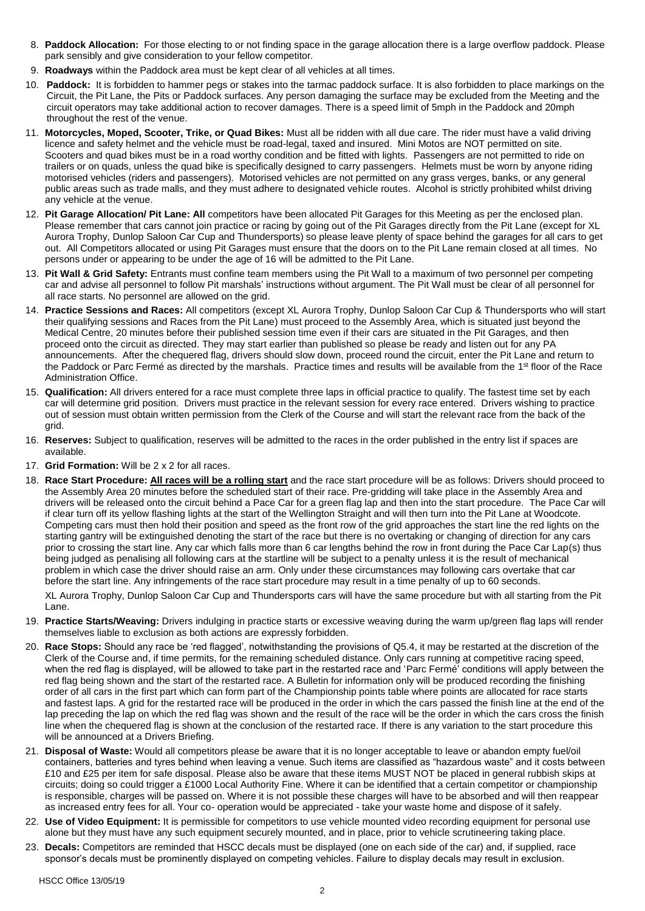- 8. **Paddock Allocation:** For those electing to or not finding space in the garage allocation there is a large overflow paddock. Please park sensibly and give consideration to your fellow competitor.
- 9. **Roadways** within the Paddock area must be kept clear of all vehicles at all times.
- 10. **Paddock:** It is forbidden to hammer pegs or stakes into the tarmac paddock surface. It is also forbidden to place markings on the Circuit, the Pit Lane, the Pits or Paddock surfaces. Any person damaging the surface may be excluded from the Meeting and the circuit operators may take additional action to recover damages. There is a speed limit of 5mph in the Paddock and 20mph throughout the rest of the venue.
- 11. **Motorcycles, Moped, Scooter, Trike, or Quad Bikes:** Must all be ridden with all due care. The rider must have a valid driving licence and safety helmet and the vehicle must be road-legal, taxed and insured. Mini Motos are NOT permitted on site. Scooters and quad bikes must be in a road worthy condition and be fitted with lights. Passengers are not permitted to ride on trailers or on quads, unless the quad bike is specifically designed to carry passengers. Helmets must be worn by anyone riding motorised vehicles (riders and passengers). Motorised vehicles are not permitted on any grass verges, banks, or any general public areas such as trade malls, and they must adhere to designated vehicle routes. Alcohol is strictly prohibited whilst driving any vehicle at the venue.
- 12. **Pit Garage Allocation/ Pit Lane: All** competitors have been allocated Pit Garages for this Meeting as per the enclosed plan. Please remember that cars cannot join practice or racing by going out of the Pit Garages directly from the Pit Lane (except for XL Aurora Trophy, Dunlop Saloon Car Cup and Thundersports) so please leave plenty of space behind the garages for all cars to get out. All Competitors allocated or using Pit Garages must ensure that the doors on to the Pit Lane remain closed at all times. No persons under or appearing to be under the age of 16 will be admitted to the Pit Lane.
- 13. **Pit Wall & Grid Safety:** Entrants must confine team members using the Pit Wall to a maximum of two personnel per competing car and advise all personnel to follow Pit marshals' instructions without argument. The Pit Wall must be clear of all personnel for all race starts. No personnel are allowed on the grid.
- 14. **Practice Sessions and Races:** All competitors (except XL Aurora Trophy, Dunlop Saloon Car Cup & Thundersports who will start their qualifying sessions and Races from the Pit Lane) must proceed to the Assembly Area, which is situated just beyond the Medical Centre, 20 minutes before their published session time even if their cars are situated in the Pit Garages, and then proceed onto the circuit as directed. They may start earlier than published so please be ready and listen out for any PA announcements. After the chequered flag, drivers should slow down, proceed round the circuit, enter the Pit Lane and return to the Paddock or Parc Fermé as directed by the marshals. Practice times and results will be available from the 1<sup>st</sup> floor of the Race Administration Office.
- 15. **Qualification:** All drivers entered for a race must complete three laps in official practice to qualify. The fastest time set by each car will determine grid position. Drivers must practice in the relevant session for every race entered. Drivers wishing to practice out of session must obtain written permission from the Clerk of the Course and will start the relevant race from the back of the grid.
- 16. **Reserves:** Subject to qualification, reserves will be admitted to the races in the order published in the entry list if spaces are available.
- 17. **Grid Formation:** Will be 2 x 2 for all races.
- 18. **Race Start Procedure: All races will be a rolling start** and the race start procedure will be as follows: Drivers should proceed to the Assembly Area 20 minutes before the scheduled start of their race. Pre-gridding will take place in the Assembly Area and drivers will be released onto the circuit behind a Pace Car for a green flag lap and then into the start procedure. The Pace Car will if clear turn off its yellow flashing lights at the start of the Wellington Straight and will then turn into the Pit Lane at Woodcote. Competing cars must then hold their position and speed as the front row of the grid approaches the start line the red lights on the starting gantry will be extinguished denoting the start of the race but there is no overtaking or changing of direction for any cars prior to crossing the start line. Any car which falls more than 6 car lengths behind the row in front during the Pace Car Lap(s) thus being judged as penalising all following cars at the startline will be subject to a penalty unless it is the result of mechanical problem in which case the driver should raise an arm. Only under these circumstances may following cars overtake that car before the start line. Any infringements of the race start procedure may result in a time penalty of up to 60 seconds.

XL Aurora Trophy, Dunlop Saloon Car Cup and Thundersports cars will have the same procedure but with all starting from the Pit Lane.

- 19. **Practice Starts/Weaving:** Drivers indulging in practice starts or excessive weaving during the warm up/green flag laps will render themselves liable to exclusion as both actions are expressly forbidden.
- 20. **Race Stops:** Should any race be 'red flagged', notwithstanding the provisions of Q5.4, it may be restarted at the discretion of the Clerk of the Course and, if time permits, for the remaining scheduled distance. Only cars running at competitive racing speed, when the red flag is displayed, will be allowed to take part in the restarted race and 'Parc Fermé' conditions will apply between the red flag being shown and the start of the restarted race. A Bulletin for information only will be produced recording the finishing order of all cars in the first part which can form part of the Championship points table where points are allocated for race starts and fastest laps. A grid for the restarted race will be produced in the order in which the cars passed the finish line at the end of the lap preceding the lap on which the red flag was shown and the result of the race will be the order in which the cars cross the finish line when the chequered flag is shown at the conclusion of the restarted race. If there is any variation to the start procedure this will be announced at a Drivers Briefing.
- 21. **Disposal of Waste:** Would all competitors please be aware that it is no longer acceptable to leave or abandon empty fuel/oil containers, batteries and tyres behind when leaving a venue. Such items are classified as "hazardous waste" and it costs between £10 and £25 per item for safe disposal. Please also be aware that these items MUST NOT be placed in general rubbish skips at circuits; doing so could trigger a £1000 Local Authority Fine. Where it can be identified that a certain competitor or championship is responsible, charges will be passed on. Where it is not possible these charges will have to be absorbed and will then reappear as increased entry fees for all. Your co- operation would be appreciated - take your waste home and dispose of it safely.
- 22. **Use of Video Equipment:** It is permissible for competitors to use vehicle mounted video recording equipment for personal use alone but they must have any such equipment securely mounted, and in place, prior to vehicle scrutineering taking place.
- 23. **Decals:** Competitors are reminded that HSCC decals must be displayed (one on each side of the car) and, if supplied, race sponsor's decals must be prominently displayed on competing vehicles. Failure to display decals may result in exclusion.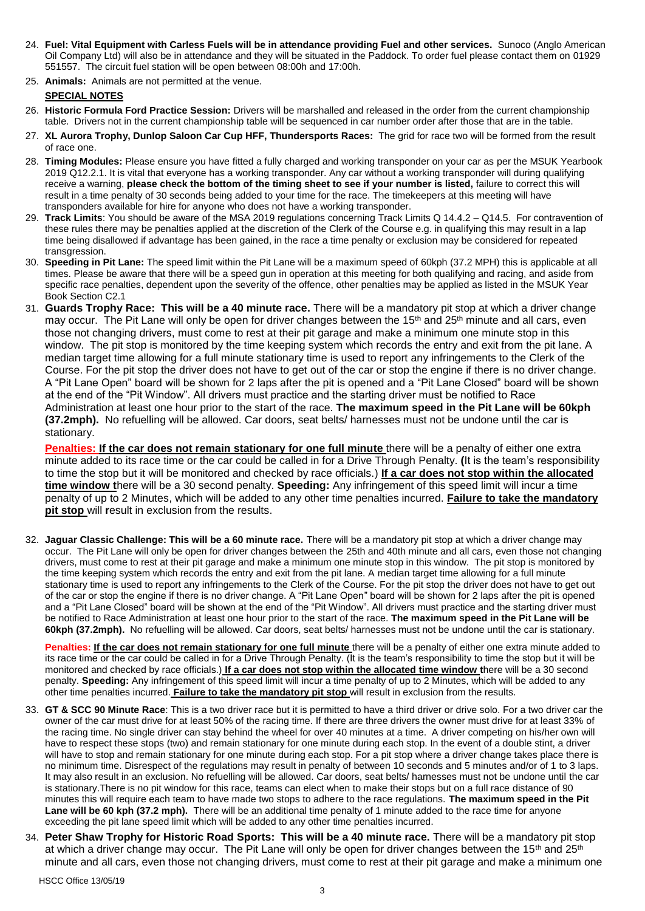- 24. **Fuel: Vital Equipment with Carless Fuels will be in attendance providing Fuel and other services.** Sunoco (Anglo American Oil Company Ltd) will also be in attendance and they will be situated in the Paddock. To order fuel please contact them on 01929 551557. The circuit fuel station will be open between 08:00h and 17:00h.
- 25. **Animals:** Animals are not permitted at the venue.

### **SPECIAL NOTES**

- 26. **Historic Formula Ford Practice Session:** Drivers will be marshalled and released in the order from the current championship table. Drivers not in the current championship table will be sequenced in car number order after those that are in the table.
- 27. **XL Aurora Trophy, Dunlop Saloon Car Cup HFF, Thundersports Races:** The grid for race two will be formed from the result of race one.
- 28. **Timing Modules:** Please ensure you have fitted a fully charged and working transponder on your car as per the MSUK Yearbook 2019 Q12.2.1. It is vital that everyone has a working transponder. Any car without a working transponder will during qualifying receive a warning, **please check the bottom of the timing sheet to see if your number is listed,** failure to correct this will result in a time penalty of 30 seconds being added to your time for the race. The timekeepers at this meeting will have transponders available for hire for anyone who does not have a working transponder.
- 29. **Track Limits**: You should be aware of the MSA 2019 regulations concerning Track Limits Q 14.4.2 Q14.5. For contravention of these rules there may be penalties applied at the discretion of the Clerk of the Course e.g. in qualifying this may result in a lap time being disallowed if advantage has been gained, in the race a time penalty or exclusion may be considered for repeated transgression.
- 30. **Speeding in Pit Lane:** The speed limit within the Pit Lane will be a maximum speed of 60kph (37.2 MPH) this is applicable at all times. Please be aware that there will be a speed gun in operation at this meeting for both qualifying and racing, and aside from specific race penalties, dependent upon the severity of the offence, other penalties may be applied as listed in the MSUK Year Book Section C2.1
- 31. **Guards Trophy Race: This will be a 40 minute race.** There will be a mandatory pit stop at which a driver change may occur. The Pit Lane will only be open for driver changes between the 15<sup>th</sup> and 25<sup>th</sup> minute and all cars, even those not changing drivers, must come to rest at their pit garage and make a minimum one minute stop in this window. The pit stop is monitored by the time keeping system which records the entry and exit from the pit lane. A median target time allowing for a full minute stationary time is used to report any infringements to the Clerk of the Course. For the pit stop the driver does not have to get out of the car or stop the engine if there is no driver change. A "Pit Lane Open" board will be shown for 2 laps after the pit is opened and a "Pit Lane Closed" board will be shown at the end of the "Pit Window". All drivers must practice and the starting driver must be notified to Race Administration at least one hour prior to the start of the race. **The maximum speed in the Pit Lane will be 60kph (37.2mph).** No refuelling will be allowed. Car doors, seat belts/ harnesses must not be undone until the car is stationary.

**Penalties: If the car does not remain stationary for one full minute** there will be a penalty of either one extra minute added to its race time or the car could be called in for a Drive Through Penalty. **(**It is the team's responsibility to time the stop but it will be monitored and checked by race officials.) **If a car does not stop within the allocated time window t**here will be a 30 second penalty. **Speeding:** Any infringement of this speed limit will incur a time penalty of up to 2 Minutes, which will be added to any other time penalties incurred. **Failure to take the mandatory pit stop** will **r**esult in exclusion from the results.

32. **Jaguar Classic Challenge: This will be a 60 minute race.** There will be a mandatory pit stop at which a driver change may occur. The Pit Lane will only be open for driver changes between the 25th and 40th minute and all cars, even those not changing drivers, must come to rest at their pit garage and make a minimum one minute stop in this window. The pit stop is monitored by the time keeping system which records the entry and exit from the pit lane. A median target time allowing for a full minute stationary time is used to report any infringements to the Clerk of the Course. For the pit stop the driver does not have to get out of the car or stop the engine if there is no driver change. A "Pit Lane Open" board will be shown for 2 laps after the pit is opened and a "Pit Lane Closed" board will be shown at the end of the "Pit Window". All drivers must practice and the starting driver must be notified to Race Administration at least one hour prior to the start of the race. **The maximum speed in the Pit Lane will be 60kph (37.2mph).** No refuelling will be allowed. Car doors, seat belts/ harnesses must not be undone until the car is stationary.

**Penalties: If the car does not remain stationary for one full minute there will be a penalty of either one extra minute added to** its race time or the car could be called in for a Drive Through Penalty. (It is the team's responsibility to time the stop but it will be monitored and checked by race officials.) **If a car does not stop within the allocated time window t**here will be a 30 second penalty. **Speeding:** Any infringement of this speed limit will incur a time penalty of up to 2 Minutes, which will be added to any other time penalties incurred. **Failure to take the mandatory pit stop** will result in exclusion from the results.

- 33. **GT & SCC 90 Minute Race**: This is a two driver race but it is permitted to have a third driver or drive solo. For a two driver car the owner of the car must drive for at least 50% of the racing time. If there are three drivers the owner must drive for at least 33% of the racing time. No single driver can stay behind the wheel for over 40 minutes at a time. A driver competing on his/her own will have to respect these stops (two) and remain stationary for one minute during each stop. In the event of a double stint, a driver will have to stop and remain stationary for one minute during each stop. For a pit stop where a driver change takes place there is no minimum time. Disrespect of the regulations may result in penalty of between 10 seconds and 5 minutes and/or of 1 to 3 laps. It may also result in an exclusion. No refuelling will be allowed. Car doors, seat belts/ harnesses must not be undone until the car is stationary.There is no pit window for this race, teams can elect when to make their stops but on a full race distance of 90 minutes this will require each team to have made two stops to adhere to the race regulations. **The maximum speed in the Pit**  Lane will be 60 kph (37.2 mph). There will be an additional time penalty of 1 minute added to the race time for anyone exceeding the pit lane speed limit which will be added to any other time penalties incurred.
- 34. **Peter Shaw Trophy for Historic Road Sports: This will be a 40 minute race.** There will be a mandatory pit stop at which a driver change may occur. The Pit Lane will only be open for driver changes between the  $15<sup>th</sup>$  and  $25<sup>th</sup>$ minute and all cars, even those not changing drivers, must come to rest at their pit garage and make a minimum one